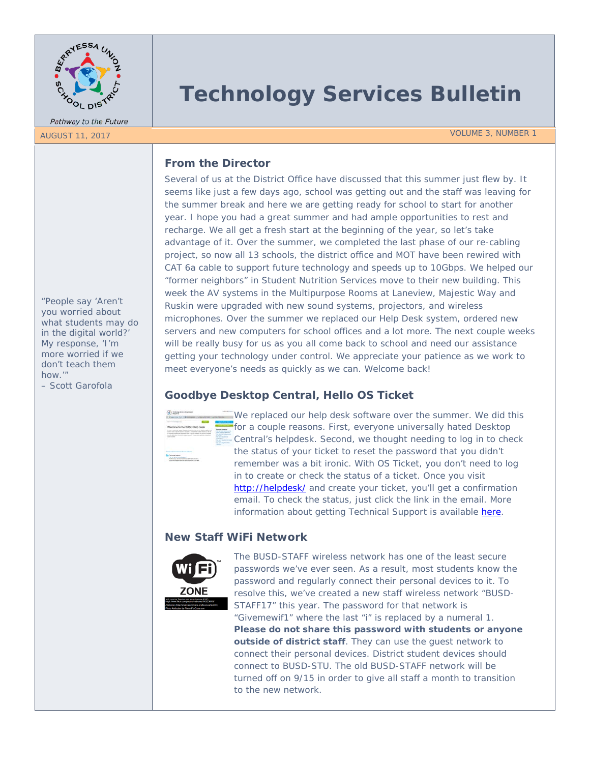

Pathway to the Future

# **Technology Services Bulletin**

AUGUST 11, 2017 VOLUME 3, NUMBER 1

## **From the Director**

Several of us at the District Office have discussed that this summer just flew by. It seems like just a few days ago, school was getting out and the staff was leaving for the summer break and here we are getting ready for school to start for another year. I hope you had a great summer and had ample opportunities to rest and recharge. We all get a fresh start at the beginning of the year, so let's take advantage of it. Over the summer, we completed the last phase of our re-cabling project, so now all 13 schools, the district office and MOT have been rewired with CAT 6a cable to support future technology and speeds up to 10Gbps. We helped our "former neighbors" in Student Nutrition Services move to their new building. This week the AV systems in the Multipurpose Rooms at Laneview, Majestic Way and Ruskin were upgraded with new sound systems, projectors, and wireless microphones. Over the summer we replaced our Help Desk system, ordered new servers and new computers for school offices and a lot more. The next couple weeks will be really busy for us as you all come back to school and need our assistance getting your technology under control. We appreciate your patience as we work to meet everyone's needs as quickly as we can. Welcome back!

# **Goodbye Desktop Central, Hello OS Ticket**



We replaced our help desk software over the summer. We did this for a couple reasons. First, everyone universally hated Desktop Central's helpdesk. Second, we thought needing to log in to check the status of your ticket to reset the password that you didn't remember was a bit ironic. With OS Ticket, you don't need to log in to create or check the status of a ticket. Once you visit <http://helpdesk/> and create your ticket, you'll get a confirmation email. To check the status, just click the link in the email. More information about getting Technical Support is available [here.](https://drive.google.com/a/busd.net/file/d/0B8SmDBhaDs7fZVlvNVZwWEJONGM/view?usp=sharing)

# **New Staff WiFi Network**



The BUSD-STAFF wireless network has one of the least secure passwords we've ever seen. As a result, most students know the password and regularly connect their personal devices to it. To resolve this, we've created a new staff wireless network "BUSD-STAFF17" this year. The password for that network is "Givemewif1" where the last "i" is replaced by a numeral 1. **Please do not share this password with students or anyone outside of district staff**. They can use the guest network to connect their personal devices. District student devices should connect to BUSD-STU. The old BUSD-STAFF network will be turned off on 9/15 in order to give all staff a month to transition to the new network.

*"People say 'Aren't you worried about what students may do in the digital world?' My response, 'I'm more worried if we don't teach them how.'"* 

*– Scott Garofola*